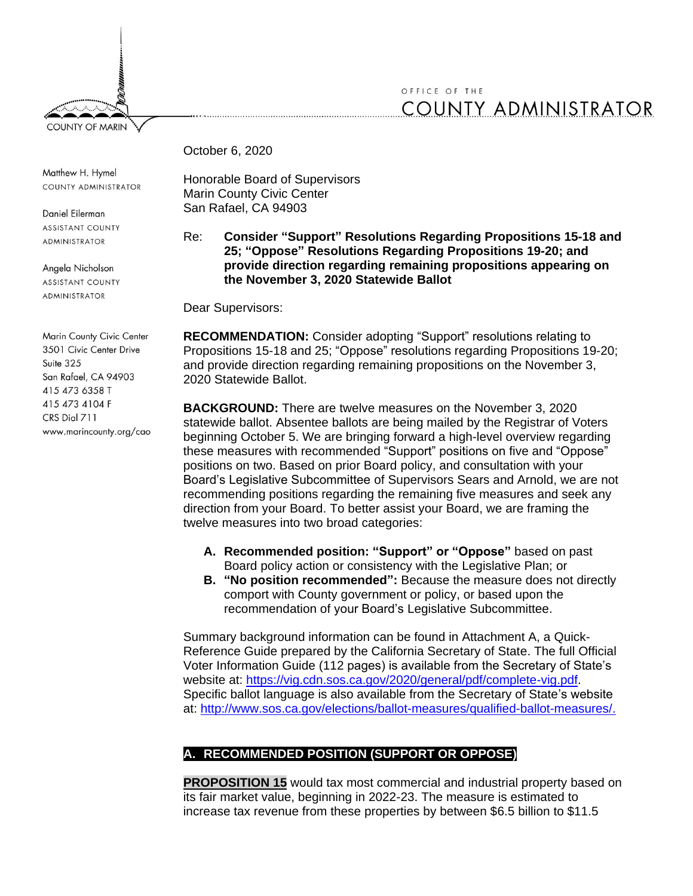

## OFFICE OF THE **COUNTY ADMINISTRATOR**

October 6, 2020

Matthew H. Hymel COUNTY ADMINISTRATOR

Daniel Eilerman **ASSISTANT COUNTY ADMINISTRATOR** 

Angela Nicholson **ASSISTANT COUNTY ADMINISTRATOR** 

Marin County Civic Center 3501 Civic Center Drive Suite 325 San Rafael, CA 94903 415 473 6358 T 415 473 4104 F CRS Dial 711 www.marincounty.org/cao Honorable Board of Supervisors Marin County Civic Center San Rafael, CA 94903

## Re: **Consider "Support" Resolutions Regarding Propositions 15-18 and 25; "Oppose" Resolutions Regarding Propositions 19-20; and provide direction regarding remaining propositions appearing on the November 3, 2020 Statewide Ballot**

Dear Supervisors:

**RECOMMENDATION:** Consider adopting "Support" resolutions relating to Propositions 15-18 and 25; "Oppose" resolutions regarding Propositions 19-20; and provide direction regarding remaining propositions on the November 3, 2020 Statewide Ballot.

**BACKGROUND:** There are twelve measures on the November 3, 2020 statewide ballot. Absentee ballots are being mailed by the Registrar of Voters beginning October 5. We are bringing forward a high-level overview regarding these measures with recommended "Support" positions on five and "Oppose" positions on two. Based on prior Board policy, and consultation with your Board's Legislative Subcommittee of Supervisors Sears and Arnold, we are not recommending positions regarding the remaining five measures and seek any direction from your Board. To better assist your Board, we are framing the twelve measures into two broad categories:

- **A. Recommended position: "Support" or "Oppose"** based on past Board policy action or consistency with the Legislative Plan; or
- **B. "No position recommended":** Because the measure does not directly comport with County government or policy, or based upon the recommendation of your Board's Legislative Subcommittee.

Summary background information can be found in Attachment A, a Quick-Reference Guide prepared by the California Secretary of State. The full Official Voter Information Guide (112 pages) is available from the Secretary of State's website at: [https://vig.cdn.sos.ca.gov/2020/general/pdf/complete-vig.pdf.](https://vig.cdn.sos.ca.gov/2020/general/pdf/complete-vig.pdf) Specific ballot language is also available from the Secretary of State's website at: [http://www.sos.ca.gov/elections/ballot-measures/qualified-ballot-measures/.](http://www.sos.ca.gov/elections/ballot-measures/qualified-ballot-measures/)

## **A. RECOMMENDED POSITION (SUPPORT OR OPPOSE)**

**PROPOSITION 15** would tax most commercial and industrial property based on its fair market value, beginning in 2022-23. The measure is estimated to increase tax revenue from these properties by between \$6.5 billion to \$11.5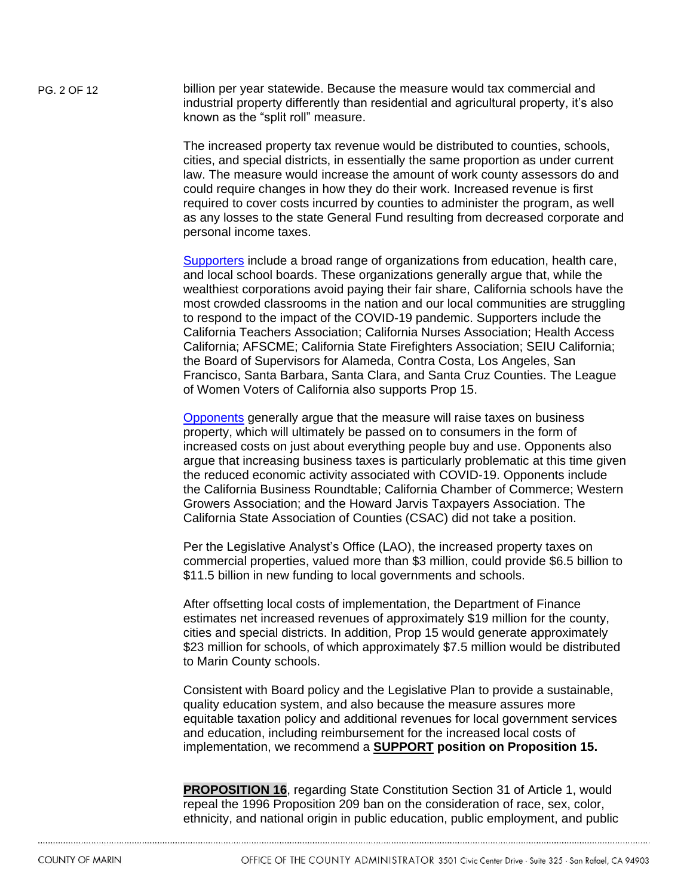PG. 2 OF 12 billion per year statewide. Because the measure would tax commercial and industrial property differently than residential and agricultural property, it's also known as the "split roll" measure.

> The increased property tax revenue would be distributed to counties, schools, cities, and special districts, in essentially the same proportion as under current law. The measure would increase the amount of work county assessors do and could require changes in how they do their work. Increased revenue is first required to cover costs incurred by counties to administer the program, as well as any losses to the state General Fund resulting from decreased corporate and personal income taxes.

> [Supporters](https://www.yes15.org/who-supports) include a broad range of organizations from education, health care, and local school boards. These organizations generally argue that, while the wealthiest corporations avoid paying their fair share, California schools have the most crowded classrooms in the nation and our local communities are struggling to respond to the impact of the COVID-19 pandemic. Supporters include the California Teachers Association; California Nurses Association; Health Access California; AFSCME; California State Firefighters Association; SEIU California; the Board of Supervisors for Alameda, Contra Costa, Los Angeles, San Francisco, Santa Barbara, Santa Clara, and Santa Cruz Counties. The League of Women Voters of California also supports Prop 15.

> [Opponents](https://noonprop15.org/coalition-members/?gclid=Cj0KCQjwqfz6BRD8ARIsAIXQCf0jwpl6W66-w1YhwfMOd2EY6-Ac6tuqbfiRYO7R5RKfH3cURraUWksaAg6PEALw_wcB) generally argue that the measure will raise taxes on business property, which will ultimately be passed on to consumers in the form of increased costs on just about everything people buy and use. Opponents also argue that increasing business taxes is particularly problematic at this time given the reduced economic activity associated with COVID-19. Opponents include the California Business Roundtable; California Chamber of Commerce; Western Growers Association; and the Howard Jarvis Taxpayers Association. The California State Association of Counties (CSAC) did not take a position.

> Per the Legislative Analyst's Office (LAO), the increased property taxes on commercial properties, valued more than \$3 million, could provide \$6.5 billion to \$11.5 billion in new funding to local governments and schools.

> After offsetting local costs of implementation, the Department of Finance estimates net increased revenues of approximately \$19 million for the county, cities and special districts. In addition, Prop 15 would generate approximately \$23 million for schools, of which approximately \$7.5 million would be distributed to Marin County schools.

> Consistent with Board policy and the Legislative Plan to provide a sustainable, quality education system, and also because the measure assures more equitable taxation policy and additional revenues for local government services and education, including reimbursement for the increased local costs of implementation, we recommend a **SUPPORT position on Proposition 15.**

> **PROPOSITION 16**, regarding State Constitution Section 31 of Article 1, would repeal the 1996 Proposition 209 ban on the consideration of race, sex, color, ethnicity, and national origin in public education, public employment, and public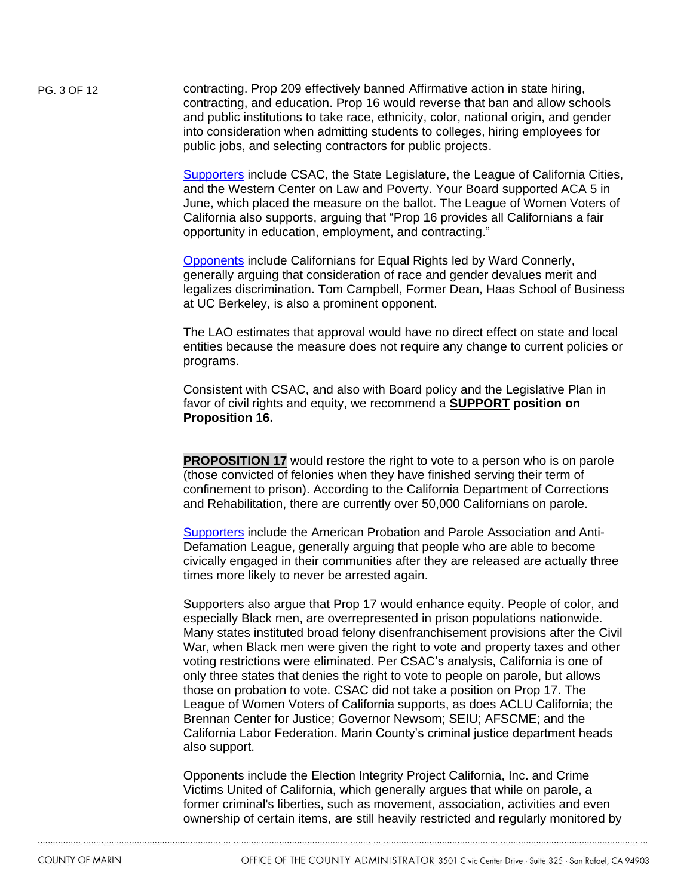PG. 3 OF 12 contracting. Prop 209 effectively banned Affirmative action in state hiring, contracting, and education. Prop 16 would reverse that ban and allow schools and public institutions to take race, ethnicity, color, national origin, and gender into consideration when admitting students to colleges, hiring employees for public jobs, and selecting contractors for public projects.

> [Supporters](https://voteyesonprop16.org/endorsements/) include CSAC, the State Legislature, the League of California Cities, and the Western Center on Law and Poverty. Your Board supported ACA 5 in June, which placed the measure on the ballot. The League of Women Voters of California also supports, arguing that "Prop 16 provides all Californians a fair opportunity in education, employment, and contracting."

> [Opponents](https://californiansforequalrights.org/) include Californians for Equal Rights led by Ward Connerly, generally arguing that consideration of race and gender devalues merit and legalizes discrimination. Tom Campbell, Former Dean, Haas School of Business at UC Berkeley, is also a prominent opponent.

> The LAO estimates that approval would have no direct effect on state and local entities because the measure does not require any change to current policies or programs.

Consistent with CSAC, and also with Board policy and the Legislative Plan in favor of civil rights and equity, we recommend a **SUPPORT position on Proposition 16.** 

**PROPOSITION 17** would restore the right to vote to a person who is on parole (those convicted of felonies when they have finished serving their term of confinement to prison). According to the California Department of Corrections and Rehabilitation, there are currently over 50,000 Californians on parole.

[Supporters](https://yeson17.vote/) include the American Probation and Parole Association and Anti-Defamation League, generally arguing that people who are able to become civically engaged in their communities after they are released are actually three times more likely to never be arrested again.

Supporters also argue that Prop 17 would enhance equity. People of color, and especially Black men, are overrepresented in prison populations nationwide. Many states instituted broad felony disenfranchisement provisions after the Civil War, when Black men were given the right to vote and property taxes and other voting restrictions were eliminated. Per CSAC's analysis, California is one of only three states that denies the right to vote to people on parole, but allows those on probation to vote. CSAC did not take a position on Prop 17. The League of Women Voters of California supports, as does ACLU California; the Brennan Center for Justice; Governor Newsom; SEIU; AFSCME; and the California Labor Federation. Marin County's criminal justice department heads also support.

Opponents include the Election Integrity Project California, Inc. and Crime Victims United of California, which generally argues that while on parole, a former criminal's liberties, such as movement, association, activities and even ownership of certain items, are still heavily restricted and regularly monitored by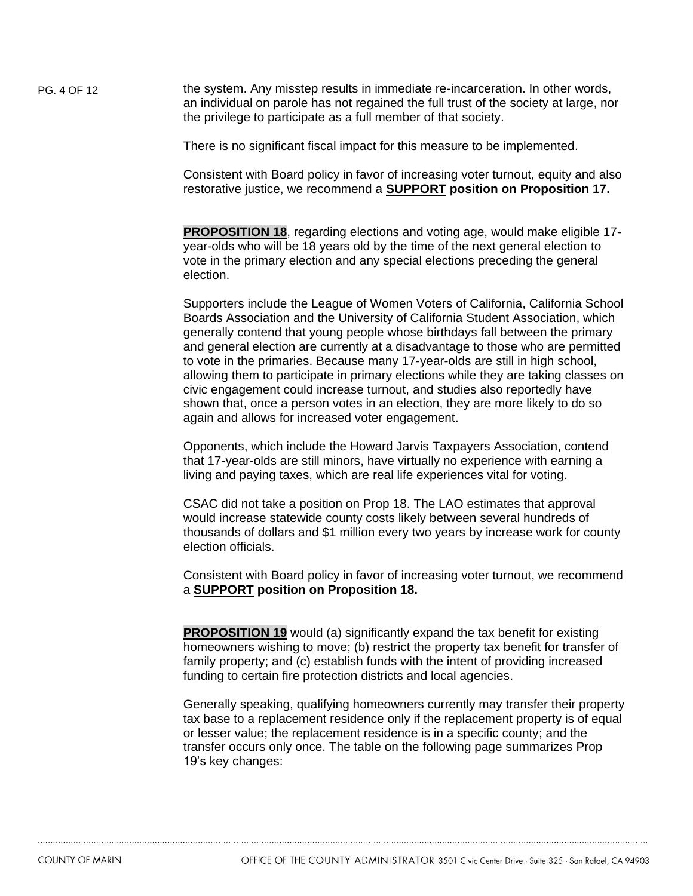PG. 4 OF 12 the system. Any misstep results in immediate re-incarceration. In other words, an individual on parole has not regained the full trust of the society at large, nor the privilege to participate as a full member of that society.

There is no significant fiscal impact for this measure to be implemented.

Consistent with Board policy in favor of increasing voter turnout, equity and also restorative justice, we recommend a **SUPPORT position on Proposition 17.** 

**PROPOSITION 18**, regarding elections and voting age, would make eligible 17 year-olds who will be 18 years old by the time of the next general election to vote in the primary election and any special elections preceding the general election.

Supporters include the League of Women Voters of California, California School Boards Association and the University of California Student Association, which generally contend that young people whose birthdays fall between the primary and general election are currently at a disadvantage to those who are permitted to vote in the primaries. Because many 17-year-olds are still in high school, allowing them to participate in primary elections while they are taking classes on civic engagement could increase turnout, and studies also reportedly have shown that, once a person votes in an election, they are more likely to do so again and allows for increased voter engagement.

Opponents, which include the Howard Jarvis Taxpayers Association, contend that 17-year-olds are still minors, have virtually no experience with earning a living and paying taxes, which are real life experiences vital for voting.

CSAC did not take a position on Prop 18. The LAO estimates that approval would increase statewide county costs likely between several hundreds of thousands of dollars and \$1 million every two years by increase work for county election officials.

Consistent with Board policy in favor of increasing voter turnout, we recommend a **SUPPORT position on Proposition 18.** 

**PROPOSITION 19** would (a) significantly expand the tax benefit for existing homeowners wishing to move; (b) restrict the property tax benefit for transfer of family property; and (c) establish funds with the intent of providing increased funding to certain fire protection districts and local agencies.

Generally speaking, qualifying homeowners currently may transfer their property tax base to a replacement residence only if the replacement property is of equal or lesser value; the replacement residence is in a specific county; and the transfer occurs only once. The table on the following page summarizes Prop 19's key changes: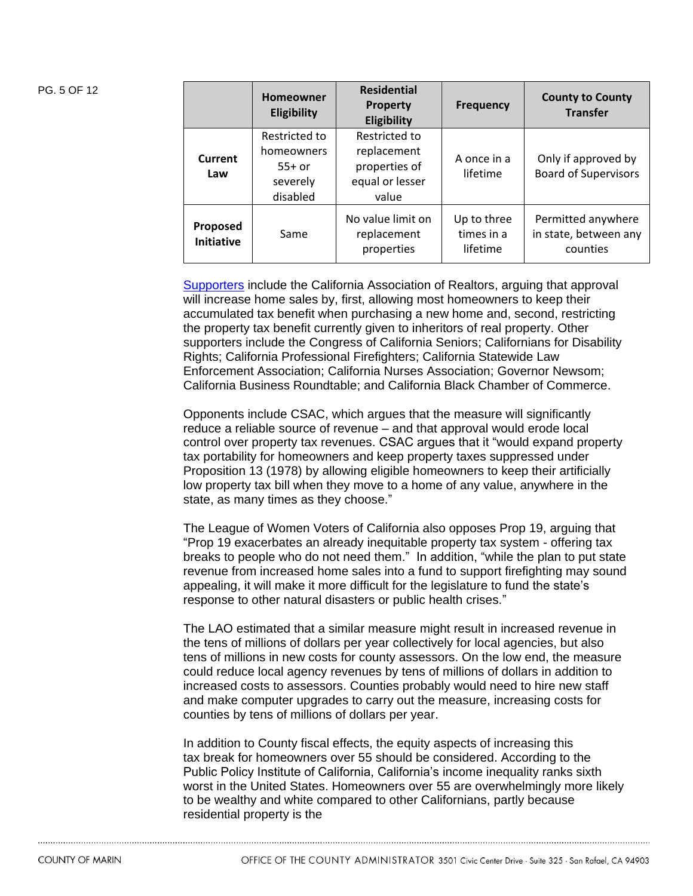| PG. 5 OF 12 |                               | <b>Homeowner</b><br><b>Eligibility</b>                          | <b>Residential</b><br><b>Property</b><br>Eligibility                      | Frequency                             | <b>County to County</b><br><b>Transfer</b>              |
|-------------|-------------------------------|-----------------------------------------------------------------|---------------------------------------------------------------------------|---------------------------------------|---------------------------------------------------------|
|             | Current<br>Law                | Restricted to<br>homeowners<br>$55+$ or<br>severely<br>disabled | Restricted to<br>replacement<br>properties of<br>equal or lesser<br>value | A once in a<br>lifetime               | Only if approved by<br><b>Board of Supervisors</b>      |
|             | Proposed<br><b>Initiative</b> | Same                                                            | No value limit on<br>replacement<br>properties                            | Up to three<br>times in a<br>lifetime | Permitted anywhere<br>in state, between any<br>counties |

[Supporters](https://www.yeson19.vote/) include the California Association of Realtors, arguing that approval will increase home sales by, first, allowing most homeowners to keep their accumulated tax benefit when purchasing a new home and, second, restricting the property tax benefit currently given to inheritors of real property. Other supporters include the Congress of California Seniors; Californians for Disability Rights; California Professional Firefighters; California Statewide Law Enforcement Association; California Nurses Association; Governor Newsom; California Business Roundtable; and California Black Chamber of Commerce.

Opponents include CSAC, which argues that the measure will significantly reduce a reliable source of revenue – and that approval would erode local control over property tax revenues. CSAC argues that it "would expand property tax portability for homeowners and keep property taxes suppressed under Proposition 13 (1978) by allowing eligible homeowners to keep their artificially low property tax bill when they move to a home of any value, anywhere in the state, as many times as they choose."

The League of Women Voters of California also opposes Prop 19, arguing that "Prop 19 exacerbates an already inequitable property tax system - offering tax breaks to people who do not need them." In addition, "while the plan to put state revenue from increased home sales into a fund to support firefighting may sound appealing, it will make it more difficult for the legislature to fund the state's response to other natural disasters or public health crises."

The LAO estimated that a similar measure might result in increased revenue in the tens of millions of dollars per year collectively for local agencies, but also tens of millions in new costs for county assessors. On the low end, the measure could reduce local agency revenues by tens of millions of dollars in addition to increased costs to assessors. Counties probably would need to hire new staff and make computer upgrades to carry out the measure, increasing costs for counties by tens of millions of dollars per year.

In addition to County fiscal effects, the equity aspects of increasing this tax break for homeowners over 55 should be considered. According to the Public Policy Institute of California, California's income inequality ranks sixth worst in the United States. Homeowners over 55 are overwhelmingly more likely to be wealthy and white compared to other Californians, partly because residential property is the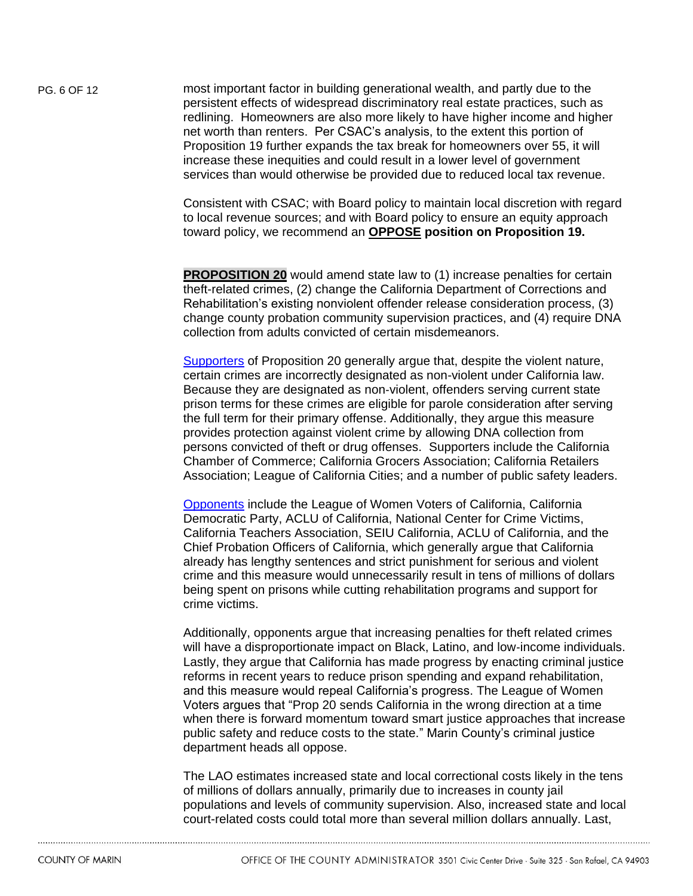PG. 6 OF 12 most important factor in building generational wealth, and partly due to the persistent effects of widespread discriminatory real estate practices, such as redlining. Homeowners are also more likely to have higher income and higher net worth than renters. Per CSAC's analysis, to the extent this portion of Proposition 19 further expands the tax break for homeowners over 55, it will increase these inequities and could result in a lower level of government services than would otherwise be provided due to reduced local tax revenue.

> Consistent with CSAC; with Board policy to maintain local discretion with regard to local revenue sources; and with Board policy to ensure an equity approach toward policy, we recommend an **OPPOSE position on Proposition 19.**

> **PROPOSITION 20** would amend state law to (1) increase penalties for certain theft-related crimes, (2) change the California Department of Corrections and Rehabilitation's existing nonviolent offender release consideration process, (3) change county probation community supervision practices, and (4) require DNA collection from adults convicted of certain misdemeanors.

[Supporters](https://keepcalsafe.org/) of Proposition 20 generally argue that, despite the violent nature, certain crimes are incorrectly designated as non-violent under California law. Because they are designated as non‐violent, offenders serving current state prison terms for these crimes are eligible for parole consideration after serving the full term for their primary offense. Additionally, they argue this measure provides protection against violent crime by allowing DNA collection from persons convicted of theft or drug offenses. Supporters include the California Chamber of Commerce; California Grocers Association; California Retailers Association; League of California Cities; and a number of public safety leaders.

[Opponents](https://noprop20.vote/) include the League of Women Voters of California, California Democratic Party, ACLU of California, National Center for Crime Victims, California Teachers Association, SEIU California, ACLU of California, and the Chief Probation Officers of California, which generally argue that California already has lengthy sentences and strict punishment for serious and violent crime and this measure would unnecessarily result in tens of millions of dollars being spent on prisons while cutting rehabilitation programs and support for crime victims.

Additionally, opponents argue that increasing penalties for theft related crimes will have a disproportionate impact on Black, Latino, and low-income individuals. Lastly, they argue that California has made progress by enacting criminal justice reforms in recent years to reduce prison spending and expand rehabilitation, and this measure would repeal California's progress. The League of Women Voters argues that "Prop 20 sends California in the wrong direction at a time when there is forward momentum toward smart justice approaches that increase public safety and reduce costs to the state." Marin County's criminal justice department heads all oppose.

The LAO estimates increased state and local correctional costs likely in the tens of millions of dollars annually, primarily due to increases in county jail populations and levels of community supervision. Also, increased state and local court-related costs could total more than several million dollars annually. Last,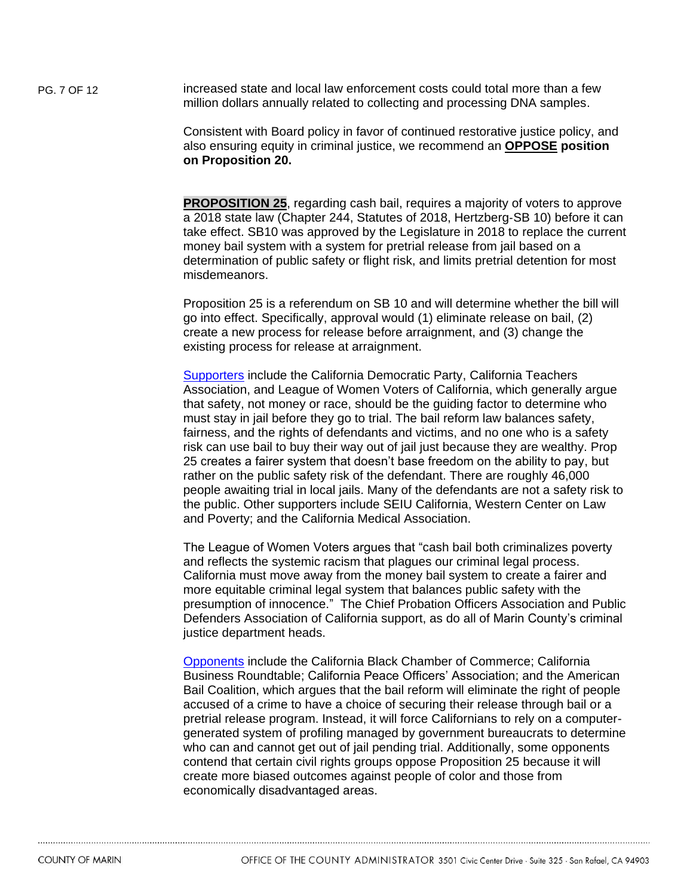PG. 7 OF 12 increased state and local law enforcement costs could total more than a few million dollars annually related to collecting and processing DNA samples.

> Consistent with Board policy in favor of continued restorative justice policy, and also ensuring equity in criminal justice, we recommend an **OPPOSE position on Proposition 20.**

**PROPOSITION 25**, regarding cash bail, requires a majority of voters to approve a 2018 state law (Chapter 244, Statutes of 2018, Hertzberg‐SB 10) before it can take effect. SB10 was approved by the Legislature in 2018 to replace the current money bail system with a system for pretrial release from jail based on a determination of public safety or flight risk, and limits pretrial detention for most misdemeanors.

Proposition 25 is a referendum on SB 10 and will determine whether the bill will go into effect. Specifically, approval would (1) eliminate release on bail, (2) create a new process for release before arraignment, and (3) change the existing process for release at arraignment.

[Supporters](https://yesoncaprop25.com/bail_reform_supporters) include the California Democratic Party, California Teachers Association, and League of Women Voters of California, which generally argue that safety, not money or race, should be the guiding factor to determine who must stay in jail before they go to trial. The bail reform law balances safety, fairness, and the rights of defendants and victims, and no one who is a safety risk can use bail to buy their way out of jail just because they are wealthy. Prop 25 creates a fairer system that doesn't base freedom on the ability to pay, but rather on the public safety risk of the defendant. There are roughly 46,000 people awaiting trial in local jails. Many of the defendants are not a safety risk to the public. Other supporters include SEIU California, Western Center on Law and Poverty; and the California Medical Association.

The League of Women Voters argues that "cash bail both criminalizes poverty and reflects the systemic racism that plagues our criminal legal process. California must move away from the money bail system to create a fairer and more equitable criminal legal system that balances public safety with the presumption of innocence." The Chief Probation Officers Association and Public Defenders Association of California support, as do all of Marin County's criminal justice department heads.

[Opponents](https://stopprop25.com/coalition-members-2/) include the California Black Chamber of Commerce; California Business Roundtable; California Peace Officers' Association; and the American Bail Coalition, which argues that the bail reform will eliminate the right of people accused of a crime to have a choice of securing their release through bail or a pretrial release program. Instead, it will force Californians to rely on a computergenerated system of profiling managed by government bureaucrats to determine who can and cannot get out of jail pending trial. Additionally, some opponents contend that certain civil rights groups oppose Proposition 25 because it will create more biased outcomes against people of color and those from economically disadvantaged areas.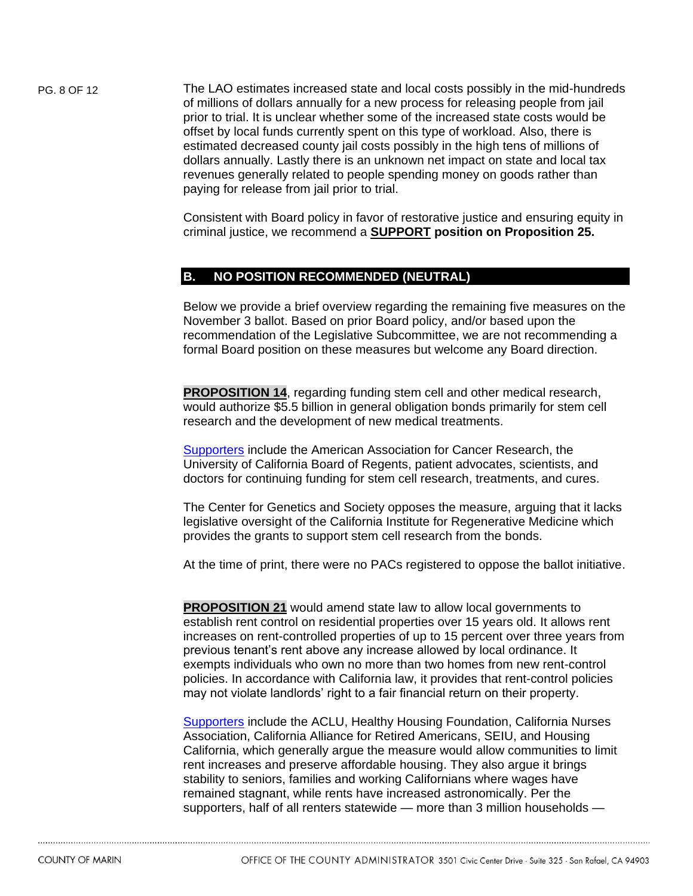PG. 8 OF 12 The LAO estimates increased state and local costs possibly in the mid-hundreds of millions of dollars annually for a new process for releasing people from jail prior to trial. It is unclear whether some of the increased state costs would be offset by local funds currently spent on this type of workload. Also, there is estimated decreased county jail costs possibly in the high tens of millions of dollars annually. Lastly there is an unknown net impact on state and local tax revenues generally related to people spending money on goods rather than paying for release from jail prior to trial.

> Consistent with Board policy in favor of restorative justice and ensuring equity in criminal justice, we recommend a **SUPPORT position on Proposition 25.**

## **B. NO POSITION RECOMMENDED (NEUTRAL)**

Below we provide a brief overview regarding the remaining five measures on the November 3 ballot. Based on prior Board policy, and/or based upon the recommendation of the Legislative Subcommittee, we are not recommending a formal Board position on these measures but welcome any Board direction.

**PROPOSITION 14**, regarding funding stem cell and other medical research, would authorize \$5.5 billion in general obligation bonds primarily for stem cell research and the development of new medical treatments.

[Supporters](file://///CO.MARIN.CA.US/FS1/CAOSHARE/Management/LEGISLATIVE%20PROGRAM/Nov%2020%20Ballot%20Measures/There%20were%20no%20PACs%20registered%20to%20oppose%20the%20ballot%20initiative) include the American Association for Cancer Research, the University of California Board of Regents, patient advocates, scientists, and doctors for continuing funding for stem cell research, treatments, and cures.

The Center for Genetics and Society opposes the measure, arguing that it lacks legislative oversight of the California Institute for Regenerative Medicine which provides the grants to support stem cell research from the bonds.

At the time of print, there were no PACs registered to oppose the ballot initiative.

**PROPOSITION 21** would amend state law to allow local governments to establish rent control on residential properties over 15 years old. It allows rent increases on rent-controlled properties of up to 15 percent over three years from previous tenant's rent above any increase allowed by local ordinance. It exempts individuals who own no more than two homes from new rent-control policies. In accordance with California law, it provides that rent-control policies may not violate landlords' right to a fair financial return on their property.

[Supporters](https://yeson21ca.org/endorsements/) include the ACLU, Healthy Housing Foundation, California Nurses Association, California Alliance for Retired Americans, SEIU, and Housing California, which generally argue the measure would allow communities to limit rent increases and preserve affordable housing. They also argue it brings stability to seniors, families and working Californians where wages have remained stagnant, while rents have increased astronomically. Per the supporters, half of all renters statewide — more than 3 million households —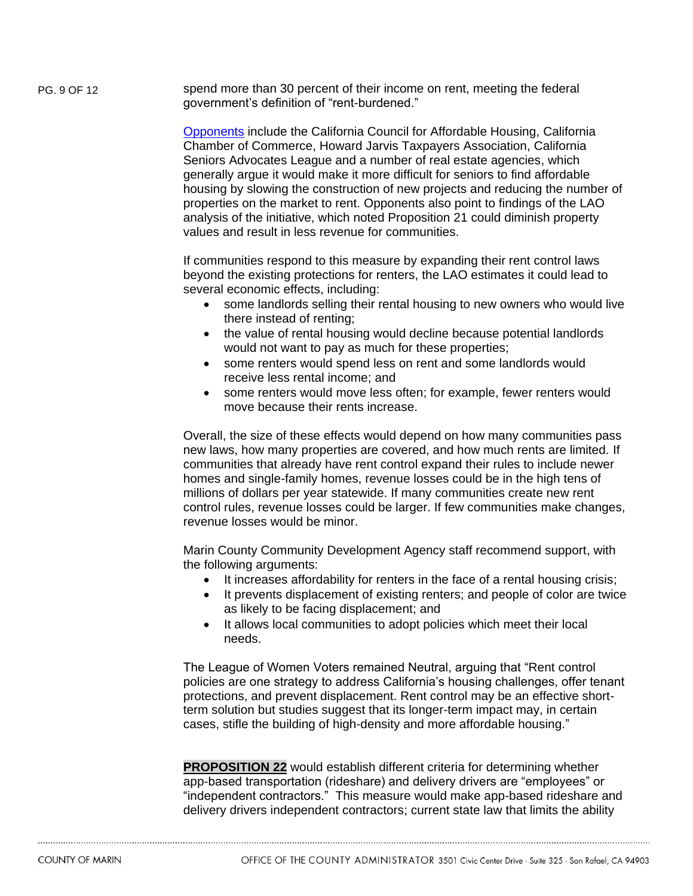PG. 9 OF 12 spend more than 30 percent of their income on rent, meeting the federal government's definition of "rent-burdened."

> [Opponents](https://noonprop21.vote/) include the California Council for Affordable Housing, California Chamber of Commerce, Howard Jarvis Taxpayers Association, California Seniors Advocates League and a number of real estate agencies, which generally argue it would make it more difficult for seniors to find affordable housing by slowing the construction of new projects and reducing the number of properties on the market to rent. Opponents also point to findings of the LAO analysis of the initiative, which noted Proposition 21 could diminish property values and result in less revenue for communities.

If communities respond to this measure by expanding their rent control laws beyond the existing protections for renters, the LAO estimates it could lead to several economic effects, including:

- some landlords selling their rental housing to new owners who would live there instead of renting;
- the value of rental housing would decline because potential landlords would not want to pay as much for these properties;
- some renters would spend less on rent and some landlords would receive less rental income; and
- some renters would move less often; for example, fewer renters would move because their rents increase.

Overall, the size of these effects would depend on how many communities pass new laws, how many properties are covered, and how much rents are limited. If communities that already have rent control expand their rules to include newer homes and single-family homes, revenue losses could be in the high tens of millions of dollars per year statewide. If many communities create new rent control rules, revenue losses could be larger. If few communities make changes, revenue losses would be minor.

Marin County Community Development Agency staff recommend support, with the following arguments:

- It increases affordability for renters in the face of a rental housing crisis;
- It prevents displacement of existing renters; and people of color are twice as likely to be facing displacement; and
- It allows local communities to adopt policies which meet their local needs.

The League of Women Voters remained Neutral, arguing that "Rent control policies are one strategy to address California's housing challenges, offer tenant protections, and prevent displacement. Rent control may be an effective shortterm solution but studies suggest that its longer-term impact may, in certain cases, stifle the building of high-density and more affordable housing."

**PROPOSITION 22** would establish different criteria for determining whether app-based transportation (rideshare) and delivery drivers are "employees" or "independent contractors." This measure would make app-based rideshare and delivery drivers independent contractors; current state law that limits the ability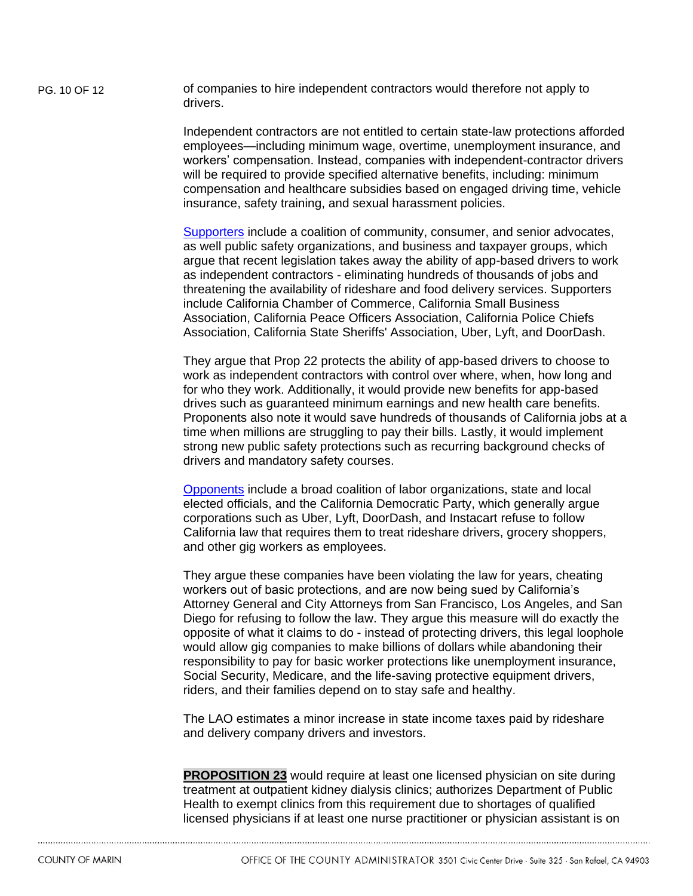PG. 10 OF 12 of companies to hire independent contractors would therefore not apply to drivers.

> Independent contractors are not entitled to certain state-law protections afforded employees—including minimum wage, overtime, unemployment insurance, and workers' compensation. Instead, companies with independent-contractor drivers will be required to provide specified alternative benefits, including: minimum compensation and healthcare subsidies based on engaged driving time, vehicle insurance, safety training, and sexual harassment policies.

> [Supporters](https://yeson22.com/coalition/) include a coalition of community, consumer, and senior advocates, as well public safety organizations, and business and taxpayer groups, which argue that recent legislation takes away the ability of app-based drivers to work as independent contractors - eliminating hundreds of thousands of jobs and threatening the availability of rideshare and food delivery services. Supporters include California Chamber of Commerce, California Small Business Association, California Peace Officers Association, California Police Chiefs Association, California State Sheriffs' Association, Uber, Lyft, and DoorDash.

They argue that Prop 22 protects the ability of app-based drivers to choose to work as independent contractors with control over where, when, how long and for who they work. Additionally, it would provide new benefits for app-based drives such as guaranteed minimum earnings and new health care benefits. Proponents also note it would save hundreds of thousands of California jobs at a time when millions are struggling to pay their bills. Lastly, it would implement strong new public safety protections such as recurring background checks of drivers and mandatory safety courses.

[Opponents](https://nooncaprop22.com/) include a broad coalition of labor organizations, state and local elected officials, and the California Democratic Party, which generally argue corporations such as Uber, Lyft, DoorDash, and Instacart refuse to follow California law that requires them to treat rideshare drivers, grocery shoppers, and other gig workers as employees.

They argue these companies have been violating the law for years, cheating workers out of basic protections, and are now being sued by California's Attorney General and City Attorneys from San Francisco, Los Angeles, and San Diego for refusing to follow the law. They argue this measure will do exactly the opposite of what it claims to do - instead of protecting drivers, this legal loophole would allow gig companies to make billions of dollars while abandoning their responsibility to pay for basic worker protections like unemployment insurance, Social Security, Medicare, and the life-saving protective equipment drivers, riders, and their families depend on to stay safe and healthy.

The LAO estimates a minor increase in state income taxes paid by rideshare and delivery company drivers and investors.

**PROPOSITION 23** would require at least one licensed physician on site during treatment at outpatient kidney dialysis clinics; authorizes Department of Public Health to exempt clinics from this requirement due to shortages of qualified licensed physicians if at least one nurse practitioner or physician assistant is on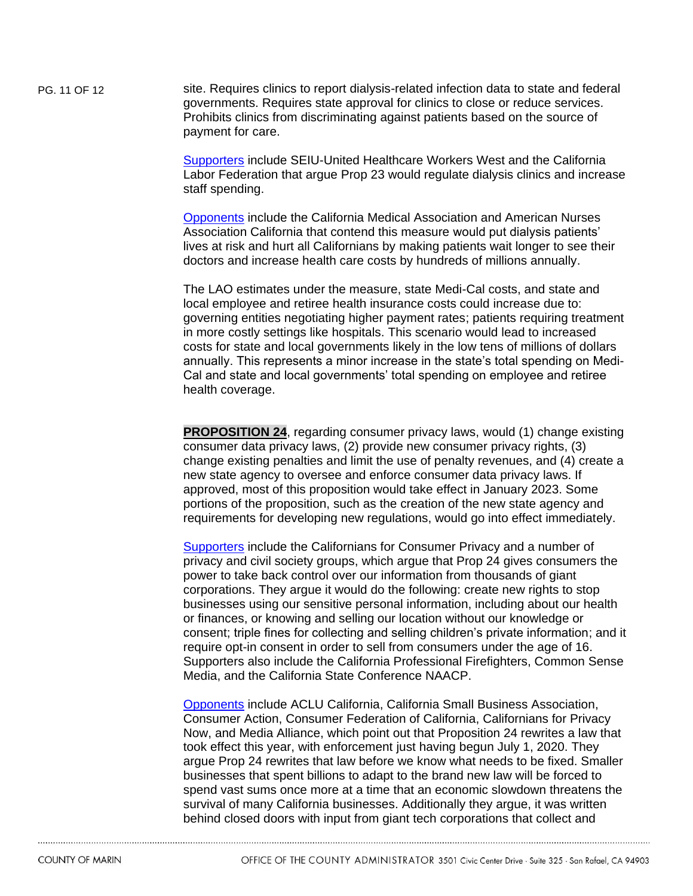PG. 11 OF 12 site. Requires clinics to report dialysis-related infection data to state and federal governments. Requires state approval for clinics to close or reduce services. Prohibits clinics from discriminating against patients based on the source of payment for care.

> [Supporters](https://www.kidneypatientsdeservebetter.com/) include SEIU-United Healthcare Workers West and the California Labor Federation that argue Prop 23 would regulate dialysis clinics and increase staff spending.

[Opponents](https://noprop23.com/) include the California Medical Association and American Nurses Association California that contend this measure would put dialysis patients' lives at risk and hurt all Californians by making patients wait longer to see their doctors and increase health care costs by hundreds of millions annually.

The LAO estimates under the measure, state Medi-Cal costs, and state and local employee and retiree health insurance costs could increase due to: governing entities negotiating higher payment rates; patients requiring treatment in more costly settings like hospitals. This scenario would lead to increased costs for state and local governments likely in the low tens of millions of dollars annually. This represents a minor increase in the state's total spending on Medi-Cal and state and local governments' total spending on employee and retiree health coverage.

**PROPOSITION 24.** regarding consumer privacy laws, would (1) change existing consumer data privacy laws, (2) provide new consumer privacy rights, (3) change existing penalties and limit the use of penalty revenues, and (4) create a new state agency to oversee and enforce consumer data privacy laws. If approved, most of this proposition would take effect in January 2023. Some portions of the proposition, such as the creation of the new state agency and requirements for developing new regulations, would go into effect immediately.

[Supporters](https://www.caprivacy.org/) include the Californians for Consumer Privacy and a number of privacy and civil society groups, which argue that Prop 24 gives consumers the power to take back control over our information from thousands of giant corporations. They argue it would do the following: create new rights to stop businesses using our sensitive personal information, including about our health or finances, or knowing and selling our location without our knowledge or consent; triple fines for collecting and selling children's private information; and it require opt-in consent in order to sell from consumers under the age of 16. Supporters also include the California Professional Firefighters, Common Sense Media, and the California State Conference NAACP.

[Opponents](https://noon24ca.org/) include ACLU California, California Small Business Association, Consumer Action, Consumer Federation of California, Californians for Privacy Now, and Media Alliance, which point out that Proposition 24 rewrites a law that took effect this year, with enforcement just having begun July 1, 2020. They argue Prop 24 rewrites that law before we know what needs to be fixed. Smaller businesses that spent billions to adapt to the brand new law will be forced to spend vast sums once more at a time that an economic slowdown threatens the survival of many California businesses. Additionally they argue, it was written behind closed doors with input from giant tech corporations that collect and